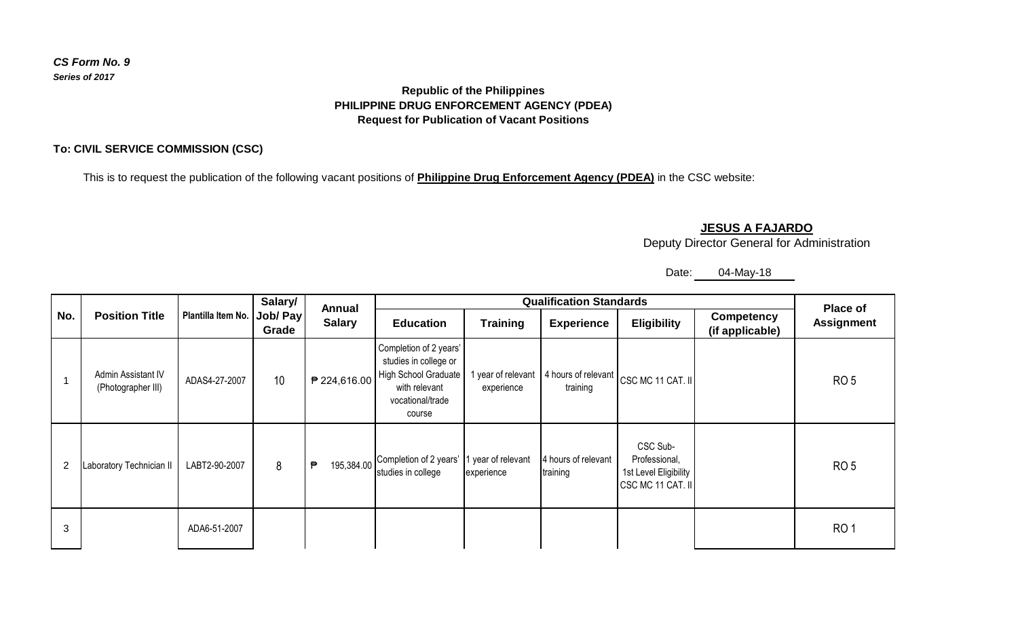### *CS Form No. 9 Series of 2017*

## **Republic of the Philippines PHILIPPINE DRUG ENFORCEMENT AGENCY (PDEA) Request for Publication of Vacant Positions**

### **To: CIVIL SERVICE COMMISSION (CSC)**

This is to request the publication of the following vacant positions of **Philippine Drug Enforcement Agency (PDEA)** in the CSC website:

## **JESUS A FAJARDO**

Deputy Director General for Administration

# Date: 04-May-18

| No.            | <b>Position Title</b>                    | Plantilla Item No. Job/ Pay | Salary/<br>Grade | Annual<br><b>Salary</b> |                                                                                                                        | <b>Place of</b>                |                                 |                                                                         |                                      |                   |
|----------------|------------------------------------------|-----------------------------|------------------|-------------------------|------------------------------------------------------------------------------------------------------------------------|--------------------------------|---------------------------------|-------------------------------------------------------------------------|--------------------------------------|-------------------|
|                |                                          |                             |                  |                         | <b>Education</b>                                                                                                       | <b>Training</b>                | <b>Experience</b>               | <b>Eligibility</b>                                                      | <b>Competency</b><br>(if applicable) | <b>Assignment</b> |
|                | Admin Assistant IV<br>(Photographer III) | ADAS4-27-2007               | 10               | ₱ 224,616.00            | Completion of 2 years'<br>studies in college or<br>High School Graduate<br>with relevant<br>vocational/trade<br>course | year of relevant<br>experience | training                        | 4 hours of relevant CSC MC 11 CAT. II                                   |                                      | RO <sub>5</sub>   |
| $\overline{2}$ | Laboratory Technician II                 | LABT2-90-2007               | 8                | 195,384.00<br>₱         | Completion of 2 years'<br>studies in college                                                                           | year of relevant<br>experience | 4 hours of relevant<br>training | CSC Sub-<br>Professional,<br>1st Level Eligibility<br>CSC MC 11 CAT. II |                                      | RO <sub>5</sub>   |
| 3              |                                          | ADA6-51-2007                |                  |                         |                                                                                                                        |                                |                                 |                                                                         |                                      | RO <sub>1</sub>   |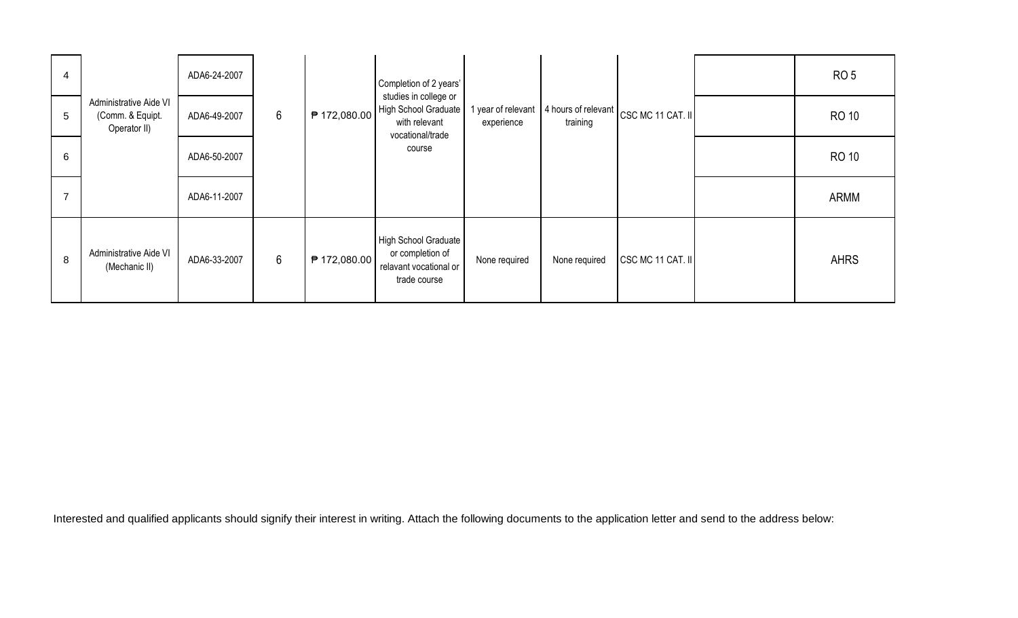| 4               |                                                            | ADA6-24-2007 |                 |              | Completion of 2 years'                                                             |                                |               |                                         | RO <sub>5</sub> |
|-----------------|------------------------------------------------------------|--------------|-----------------|--------------|------------------------------------------------------------------------------------|--------------------------------|---------------|-----------------------------------------|-----------------|
| $5\overline{)}$ | Administrative Aide VI<br>(Comm. & Equipt.<br>Operator II) | ADA6-49-2007 | $6\phantom{.}6$ | ₱ 172,080.00 | studies in college or<br>High School Graduate<br>with relevant<br>vocational/trade | year of relevant<br>experience | training      | 4 hours of relevant   CSC MC 11 CAT. II | <b>RO 10</b>    |
| 6               |                                                            | ADA6-50-2007 |                 |              | course                                                                             |                                |               |                                         | <b>RO 10</b>    |
| 7               |                                                            | ADA6-11-2007 |                 |              |                                                                                    |                                |               |                                         | <b>ARMM</b>     |
| 8               | Administrative Aide VI<br>(Mechanic II)                    | ADA6-33-2007 | $6\overline{6}$ | ₱ 172,080.00 | High School Graduate<br>or completion of<br>relavant vocational or<br>trade course | None required                  | None required | CSC MC 11 CAT. II                       | <b>AHRS</b>     |

Interested and qualified applicants should signify their interest in writing. Attach the following documents to the application letter and send to the address below: